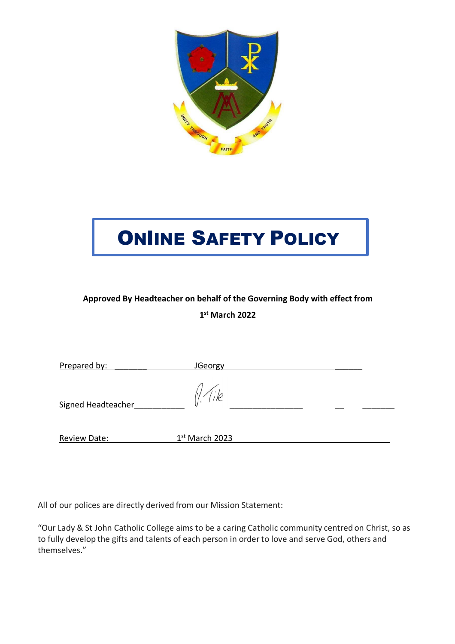

# ONlINE SAFETY POLICY

# **Approved By Headteacher on behalf of the Governing Body with effect from 1st March 2022**

| Prepared by:        | JGeorgy          |  |
|---------------------|------------------|--|
| Signed Headteacher  |                  |  |
| <b>Review Date:</b> | $1st$ March 2023 |  |
|                     |                  |  |

All of our polices are directly derived from our Mission Statement:

"Our Lady & St John Catholic College aims to be a caring Catholic community centred on Christ, so as to fully develop the gifts and talents of each person in orderto love and serve God, others and themselves."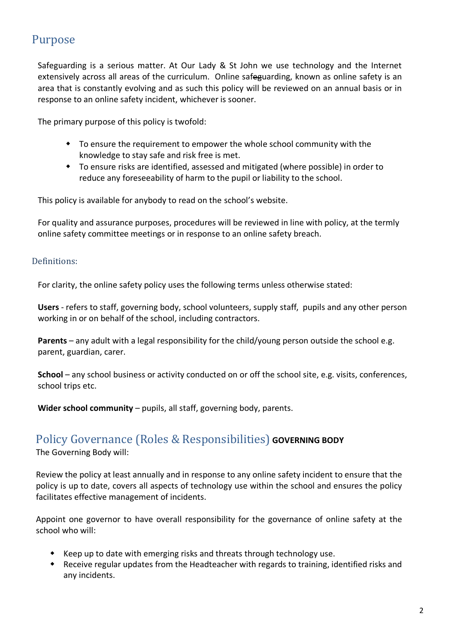# Purpose

Safeguarding is a serious matter. At Our Lady & St John we use technology and the Internet extensively across all areas of the curriculum. Online safeguarding, known as online safety is an area that is constantly evolving and as such this policy will be reviewed on an annual basis or in response to an online safety incident, whichever is sooner.

The primary purpose of this policy is twofold:

- To ensure the requirement to empower the whole school community with the knowledge to stay safe and risk free is met.
- To ensure risks are identified, assessed and mitigated (where possible) in order to reduce any foreseeability of harm to the pupil or liability to the school.

This policy is available for anybody to read on the school's website.

For quality and assurance purposes, procedures will be reviewed in line with policy, at the termly online safety committee meetings or in response to an online safety breach.

#### Definitions:

For clarity, the online safety policy uses the following terms unless otherwise stated:

**Users** - refers to staff, governing body, school volunteers, supply staff, pupils and any other person working in or on behalf of the school, including contractors.

**Parents** – any adult with a legal responsibility for the child/young person outside the school e.g. parent, guardian, carer.

**School** – any school business or activity conducted on or off the school site, e.g. visits, conferences, school trips etc.

**Wider school community** – pupils, all staff, governing body, parents.

# Policy Governance (Roles & Responsibilities) **GOVERNING BODY**

The Governing Body will:

Review the policy at least annually and in response to any online safety incident to ensure that the policy is up to date, covers all aspects of technology use within the school and ensures the policy facilitates effective management of incidents.

Appoint one governor to have overall responsibility for the governance of online safety at the school who will:

- $\bullet$  Keep up to date with emerging risks and threats through technology use.
- \* Receive regular updates from the Headteacher with regards to training, identified risks and any incidents.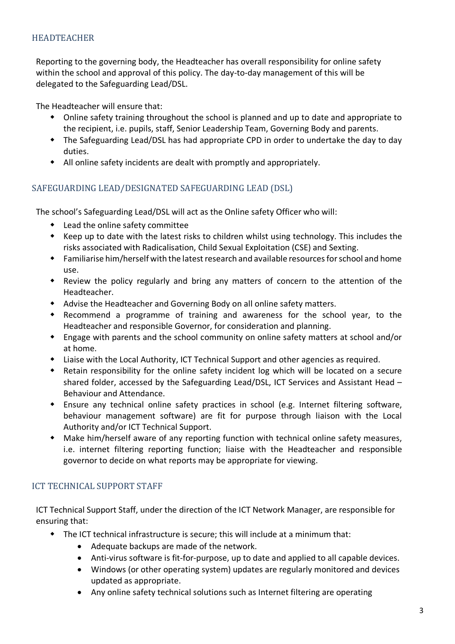#### HEADTEACHER

Reporting to the governing body, the Headteacher has overall responsibility for online safety within the school and approval of this policy. The day-to-day management of this will be delegated to the Safeguarding Lead/DSL.

The Headteacher will ensure that:

- $\bullet$  Online safety training throughout the school is planned and up to date and appropriate to the recipient, i.e. pupils, staff, Senior Leadership Team, Governing Body and parents.
- The Safeguarding Lead/DSL has had appropriate CPD in order to undertake the day to day duties.
- All online safety incidents are dealt with promptly and appropriately.

#### SAFEGUARDING LEAD/DESIGNATED SAFEGUARDING LEAD (DSL)

The school's Safeguarding Lead/DSL will act as the Online safety Officer who will:

- $\bullet$  Lead the online safety committee
- $\bullet$  Keep up to date with the latest risks to children whilst using technology. This includes the risks associated with Radicalisation, Child Sexual Exploitation (CSE) and Sexting.
- $\bullet$  Familiarise him/herself with the latest research and available resources for school and home use.
- Review the policy regularly and bring any matters of concern to the attention of the Headteacher.
- Advise the Headteacher and Governing Body on all online safety matters.
- $\bullet$  Recommend a programme of training and awareness for the school year, to the Headteacher and responsible Governor, for consideration and planning.
- w Engage with parents and the school community on online safety matters at school and/or at home.
- $\bullet$  Liaise with the Local Authority, ICT Technical Support and other agencies as required.
- Retain responsibility for the online safety incident log which will be located on a secure shared folder, accessed by the Safeguarding Lead/DSL, ICT Services and Assistant Head – Behaviour and Attendance.
- w Ensure any technical online safety practices in school (e.g. Internet filtering software, behaviour management software) are fit for purpose through liaison with the Local Authority and/or ICT Technical Support.
- Make him/herself aware of any reporting function with technical online safety measures, i.e. internet filtering reporting function; liaise with the Headteacher and responsible governor to decide on what reports may be appropriate for viewing.

#### ICT TECHNICAL SUPPORT STAFF

ICT Technical Support Staff, under the direction of the ICT Network Manager, are responsible for ensuring that:

- $\bullet$  The ICT technical infrastructure is secure; this will include at a minimum that:
	- Adequate backups are made of the network.
	- Anti-virus software is fit-for-purpose, up to date and applied to all capable devices.
	- Windows (or other operating system) updates are regularly monitored and devices updated as appropriate.
	- Any online safety technical solutions such as Internet filtering are operating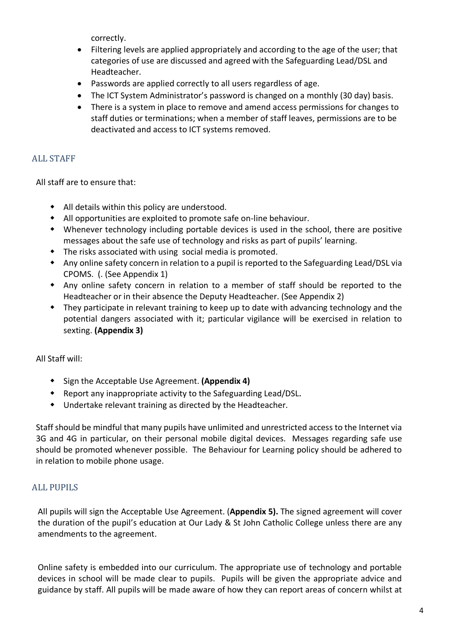correctly.

- Filtering levels are applied appropriately and according to the age of the user; that categories of use are discussed and agreed with the Safeguarding Lead/DSL and Headteacher.
- Passwords are applied correctly to all users regardless of age.
- The ICT System Administrator's password is changed on a monthly (30 day) basis.
- There is a system in place to remove and amend access permissions for changes to staff duties or terminations; when a member of staff leaves, permissions are to be deactivated and access to ICT systems removed.

# ALL STAFF

All staff are to ensure that:

- $\bullet$  All details within this policy are understood.
- $\bullet$  All opportunities are exploited to promote safe on-line behaviour.
- w Whenever technology including portable devices is used in the school, there are positive messages about the safe use of technology and risks as part of pupils' learning.
- $\bullet$  The risks associated with using social media is promoted.
- \* Any online safety concern in relation to a pupil is reported to the Safeguarding Lead/DSL via CPOMS. (. (See Appendix 1)
- Any online safety concern in relation to a member of staff should be reported to the Headteacher or in their absence the Deputy Headteacher. (See Appendix 2)
- They participate in relevant training to keep up to date with advancing technology and the potential dangers associated with it; particular vigilance will be exercised in relation to sexting. **(Appendix 3)**

#### All Staff will:

- w Sign the Acceptable Use Agreement. **(Appendix 4)**
- Report any inappropriate activity to the Safeguarding Lead/DSL.
- $\bullet$  Undertake relevant training as directed by the Headteacher.

Staffshould be mindful that many pupils have unlimited and unrestricted access to the Internet via 3G and 4G in particular, on their personal mobile digital devices. Messages regarding safe use should be promoted whenever possible. The Behaviour for Learning policy should be adhered to in relation to mobile phone usage.

# ALL PUPILS

All pupils will sign the Acceptable Use Agreement. (**Appendix 5).** The signed agreement will cover the duration of the pupil's education at Our Lady & St John Catholic College unless there are any amendments to the agreement.

Online safety is embedded into our curriculum. The appropriate use of technology and portable devices in school will be made clear to pupils. Pupils will be given the appropriate advice and guidance by staff. All pupils will be made aware of how they can report areas of concern whilst at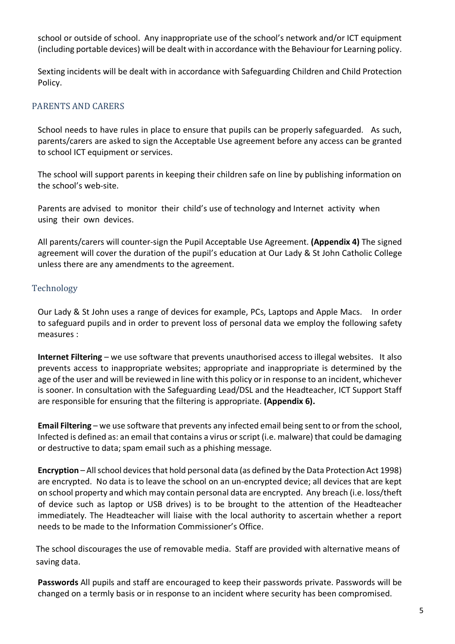school or outside of school. Any inappropriate use of the school's network and/or ICT equipment (including portable devices) will be dealt with in accordance with the Behaviour for Learning policy.

Sexting incidents will be dealt with in accordance with Safeguarding Children and Child Protection Policy.

## PARENTS AND CARERS

School needs to have rules in place to ensure that pupils can be properly safeguarded. As such, parents/carers are asked to sign the Acceptable Use agreement before any access can be granted to school ICT equipment or services.

The school will support parents in keeping their children safe on line by publishing information on the school's web-site.

Parents are advised to monitor their child's use of technology and Internet activity when using their own devices.

All parents/carers will counter-sign the Pupil Acceptable Use Agreement. **(Appendix 4)** The signed agreement will cover the duration of the pupil's education at Our Lady & St John Catholic College unless there are any amendments to the agreement.

#### Technology

Our Lady & St John uses a range of devices for example, PCs, Laptops and Apple Macs. In order to safeguard pupils and in order to prevent loss of personal data we employ the following safety measures :

**Internet Filtering** – we use software that prevents unauthorised access to illegal websites. It also prevents access to inappropriate websites; appropriate and inappropriate is determined by the age of the user and will be reviewed in line with this policy or in response to an incident, whichever is sooner. In consultation with the Safeguarding Lead/DSL and the Headteacher, ICT Support Staff are responsible for ensuring that the filtering is appropriate. **(Appendix 6).**

**Email Filtering** – we use software that prevents any infected email being sent to or from the school, Infected is defined as: an email that contains a virus orscript (i.e. malware) that could be damaging or destructive to data; spam email such as a phishing message.

**Encryption** – All school devices that hold personal data (as defined by the Data Protection Act 1998) are encrypted. No data is to leave the school on an un-encrypted device; all devices that are kept on school property and which may contain personal data are encrypted. Any breach (i.e. loss/theft of device such as laptop or USB drives) is to be brought to the attention of the Headteacher immediately. The Headteacher will liaise with the local authority to ascertain whether a report needs to be made to the Information Commissioner's Office.

The school discourages the use of removable media. Staff are provided with alternative means of saving data.

**Passwords** All pupils and staff are encouraged to keep their passwords private. Passwords will be changed on a termly basis or in response to an incident where security has been compromised.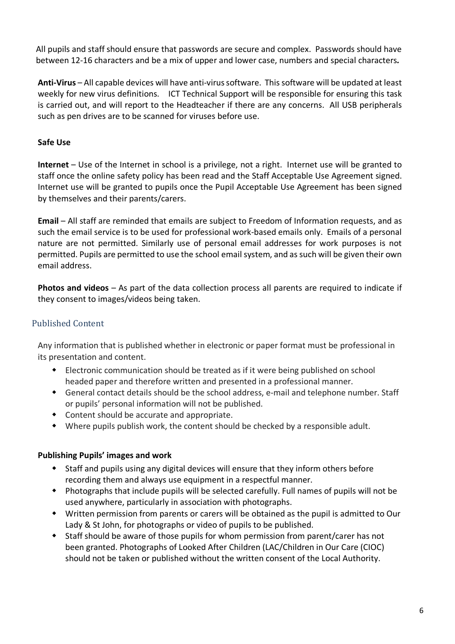All pupils and staff should ensure that passwords are secure and complex. Passwords should have between 12-16 characters and be a mix of upper and lower case, numbers and special characters*.* 

**Anti-Virus** – All capable devices will have anti-virussoftware. Thissoftware will be updated at least weekly for new virus definitions. ICT Technical Support will be responsible for ensuring this task is carried out, and will report to the Headteacher if there are any concerns. All USB peripherals such as pen drives are to be scanned for viruses before use.

## **Safe Use**

**Internet** – Use of the Internet in school is a privilege, not a right. Internet use will be granted to staff once the online safety policy has been read and the Staff Acceptable Use Agreement signed. Internet use will be granted to pupils once the Pupil Acceptable Use Agreement has been signed by themselves and their parents/carers.

**Email** – All staff are reminded that emails are subject to Freedom of Information requests, and as such the email service is to be used for professional work-based emails only. Emails of a personal nature are not permitted. Similarly use of personal email addresses for work purposes is not permitted. Pupils are permitted to use the school email system, and as such will be given their own email address.

**Photos and videos** – As part of the data collection process all parents are required to indicate if they consent to images/videos being taken.

# Published Content

Any information that is published whether in electronic or paper format must be professional in its presentation and content.

- Electronic communication should be treated as if it were being published on school headed paper and therefore written and presented in a professional manner.
- w General contact details should be the school address, e-mail and telephone number. Staff or pupils' personal information will not be published.
- $\bullet$  Content should be accurate and appropriate.
- $\bullet$  Where pupils publish work, the content should be checked by a responsible adult.

#### **Publishing Pupils' images and work**

- \* Staff and pupils using any digital devices will ensure that they inform others before recording them and always use equipment in a respectful manner.
- w Photographs that include pupils will be selected carefully. Full names of pupils will not be used anywhere, particularly in association with photographs.
- w Written permission from parents or carers will be obtained as the pupil is admitted to Our Lady & St John, for photographs or video of pupils to be published.
- Staff should be aware of those pupils for whom permission from parent/carer has not been granted. Photographs of Looked After Children (LAC/Children in Our Care (CIOC) should not be taken or published without the written consent of the Local Authority.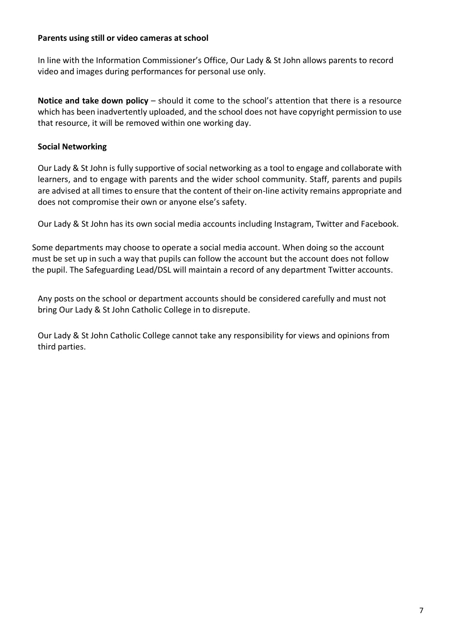#### **Parents using still or video cameras at school**

In line with the Information Commissioner's Office, Our Lady & St John allows parents to record video and images during performances for personal use only.

**Notice and take down policy** – should it come to the school's attention that there is a resource which has been inadvertently uploaded, and the school does not have copyright permission to use that resource, it will be removed within one working day.

#### **Social Networking**

Our Lady & St John is fully supportive of social networking as a tool to engage and collaborate with learners, and to engage with parents and the wider school community. Staff, parents and pupils are advised at all times to ensure that the content of their on-line activity remains appropriate and does not compromise their own or anyone else's safety.

Our Lady & St John has its own social media accounts including Instagram, Twitter and Facebook.

Some departments may choose to operate a social media account. When doing so the account must be set up in such a way that pupils can follow the account but the account does not follow the pupil. The Safeguarding Lead/DSL will maintain a record of any department Twitter accounts.

Any posts on the school or department accounts should be considered carefully and must not bring Our Lady & St John Catholic College in to disrepute.

Our Lady & St John Catholic College cannot take any responsibility for views and opinions from third parties.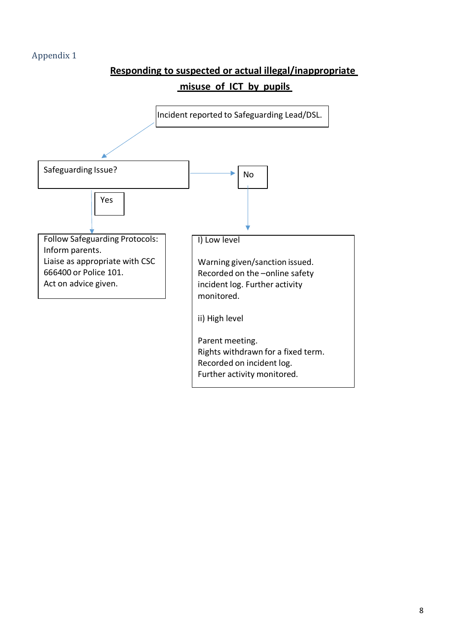# **Responding to suspected or actual illegal/inappropriate**

# **misuse of ICT by pupils**

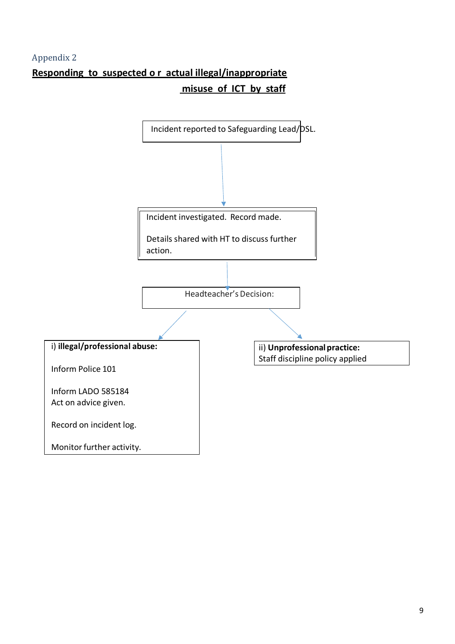# **Responding to suspected o r actual illegal/inappropriate misuse of ICT by staff**

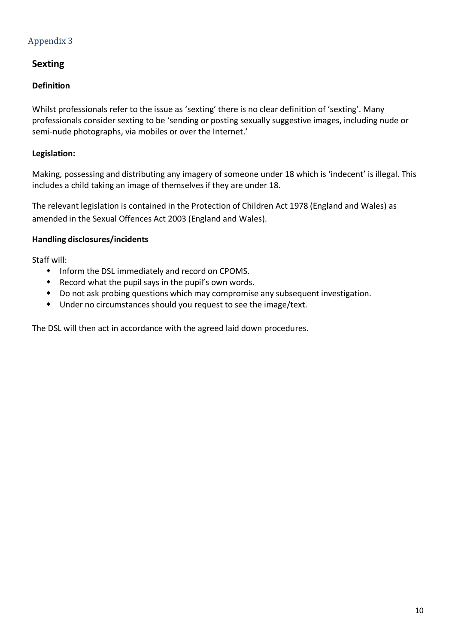# **Sexting**

## **Definition**

Whilst professionals refer to the issue as 'sexting' there is no clear definition of 'sexting'. Many professionals consider sexting to be 'sending or posting sexually suggestive images, including nude or semi-nude photographs, via mobiles or over the Internet.'

#### **Legislation:**

Making, possessing and distributing any imagery of someone under 18 which is 'indecent' is illegal. This includes a child taking an image of themselvesif they are under 18.

The relevant legislation is contained in the Protection of Children Act 1978 (England and Wales) as amended in the Sexual Offences Act 2003 (England and Wales).

#### **Handling disclosures/incidents**

Staff will:

- $\bullet$  Inform the DSL immediately and record on CPOMS.
- $\bullet$  Record what the pupil says in the pupil's own words.
- \* Do not ask probing questions which may compromise any subsequent investigation.
- $\bullet$  Under no circumstances should you request to see the image/text.

The DSL will then act in accordance with the agreed laid down procedures.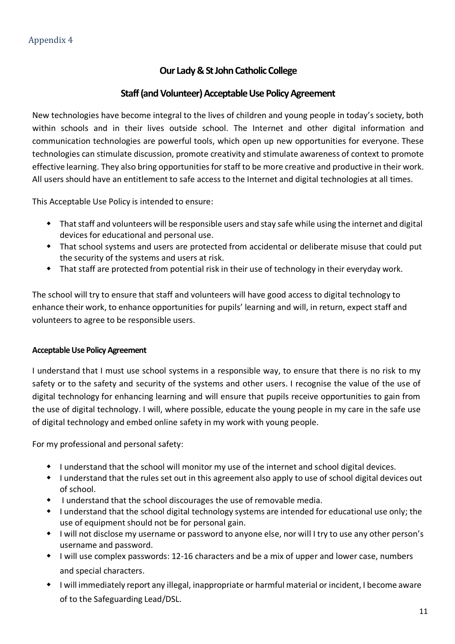# **Our Lady&StJohnCatholicCollege**

## **Staff (and Volunteer) Acceptable Use Policy Agreement**

New technologies have become integral to the lives of children and young people in today's society, both within schools and in their lives outside school. The Internet and other digital information and communication technologies are powerful tools, which open up new opportunities for everyone. These technologies can stimulate discussion, promote creativity and stimulate awareness of context to promote effective learning. They also bring opportunities for staff to be more creative and productive in their work. All users should have an entitlement to safe access to the Internet and digital technologies at all times.

This Acceptable Use Policy is intended to ensure:

- $\bullet$  That staff and volunteers will be responsible users and stay safe while using the internet and digital devices for educational and personal use.
- \* That school systems and users are protected from accidental or deliberate misuse that could put the security of the systems and users at risk.
- That staff are protected from potential risk in their use of technology in their everyday work.

The school will try to ensure that staff and volunteers will have good access to digital technology to enhance their work, to enhance opportunities for pupils' learning and will, in return, expect staff and volunteers to agree to be responsible users.

#### **Acceptable Use PolicyAgreement**

I understand that I must use school systems in a responsible way, to ensure that there is no risk to my safety or to the safety and security of the systems and other users. I recognise the value of the use of digital technology for enhancing learning and will ensure that pupils receive opportunities to gain from the use of digital technology. I will, where possible, educate the young people in my care in the safe use of digital technology and embed online safety in my work with young people.

For my professional and personal safety:

- I understand that the school will monitor my use of the internet and school digital devices.
- I understand that the rules set out in this agreement also apply to use of school digital devices out of school.
- $\bullet$  I understand that the school discourages the use of removable media.
- w I understand that the school digital technology systems are intended for educational use only; the use of equipment should not be for personal gain.
- I will not disclose my username or password to anyone else, nor will I try to use any other person's username and password.
- I will use complex passwords: 12-16 characters and be a mix of upper and lower case, numbers and special characters.
- w I will immediately report any illegal, inappropriate or harmful material or incident, I become aware of to the Safeguarding Lead/DSL.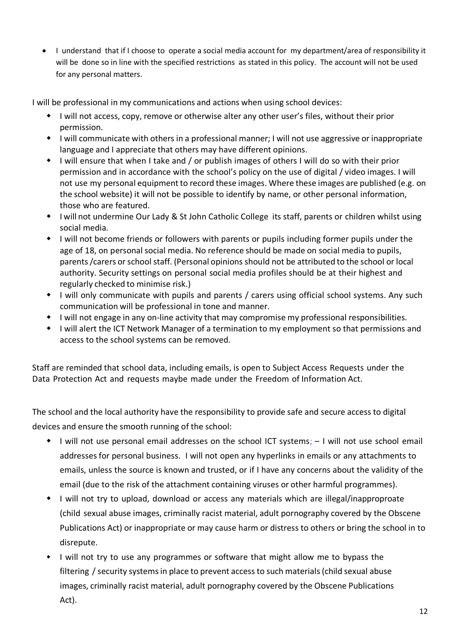• I understand that if I choose to operate a social media account for my department/area of responsibility it will be done so in line with the specified restrictions as stated in this policy. The account will not be used for any personal matters.

I will be professional in my communications and actions when using school devices:

- $\bullet$  I will not access, copy, remove or otherwise alter any other user's files, without their prior permission.
- $\bullet$  I will communicate with others in a professional manner; I will not use aggressive or inappropriate language and I appreciate that others may have different opinions.
- $\bullet$  I will ensure that when I take and / or publish images of others I will do so with their prior permission and in accordance with the school's policy on the use of digital / video images. I will not use my personal equipment to record these images. Where these images are published (e.g. on the school website) it will not be possible to identify by name, or other personal information, those who are featured.
- I will not undermine Our Lady & St John Catholic College its staff, parents or children whilst using social media.
- w I will not become friends or followers with parents or pupils including former pupils under the age of 18, on personal social media. No reference should be made on social media to pupils, parents/carers or school staff. (Personal opinions should not be attributed to the school or local authority. Security settings on personal social media profiles should be at their highest and regularly checked to minimise risk.)
- \* I will only communicate with pupils and parents / carers using official school systems. Any such communication will be professional in tone and manner.
- $\bullet$  I will not engage in any on-line activity that may compromise my professional responsibilities.
- I will alert the ICT Network Manager of a termination to my employment so that permissions and access to the school systems can be removed.

Staff are reminded that school data, including emails, is open to Subject Access Requests under the Data Protection Act and requests maybe made under the Freedom of Information Act.

The school and the local authority have the responsibility to provide safe and secure access to digital devices and ensure the smooth running of the school:

- w I will not use personal email addresses on the school ICT systems; I will not use school email addresses for personal business. I will not open any hyperlinks in emails or any attachments to emails, unless the source is known and trusted, or if I have any concerns about the validity of the email (due to the risk of the attachment containing viruses or other harmful programmes).
- I will not try to upload, download or access any materials which are illegal/inapproproate (child sexual abuse images, criminally racist material, adult pornography covered by the Obscene Publications Act) or inappropriate or may cause harm or distress to others or bring the school in to disrepute.
- I will not try to use any programmes or software that might allow me to bypass the filtering / security systemsin place to prevent accessto such materials(child sexual abuse images, criminally racist material, adult pornography covered by the Obscene Publications Act).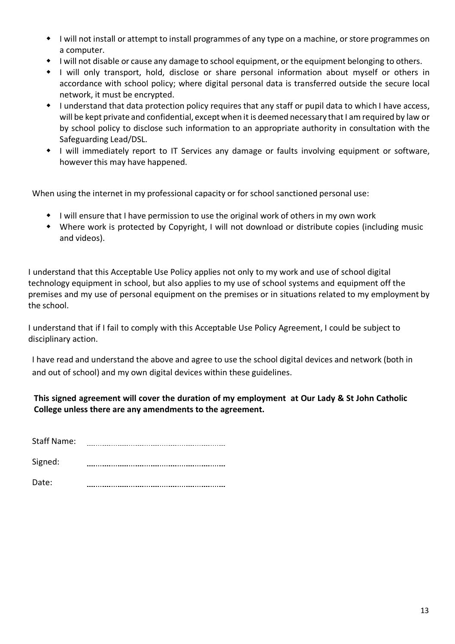- I will not install or attempt to install programmes of any type on a machine, or store programmes on a computer.
- I will not disable or cause any damage to school equipment, or the equipment belonging to others.
- w I will only transport, hold, disclose or share personal information about myself or others in accordance with school policy; where digital personal data is transferred outside the secure local network, it must be encrypted.
- w I understand that data protection policy requires that any staff or pupil data to which I have access, will be kept private and confidential, except when it is deemed necessary that I am required by law or by school policy to disclose such information to an appropriate authority in consultation with the Safeguarding Lead/DSL.
- \* I will immediately report to IT Services any damage or faults involving equipment or software, however this may have happened.

When using the internet in my professional capacity or for school sanctioned personal use:

- I will ensure that I have permission to use the original work of others in my own work
- w Where work is protected by Copyright, I will not download or distribute copies (including music and videos).

I understand that this Acceptable Use Policy applies not only to my work and use of school digital technology equipment in school, but also applies to my use of school systems and equipment off the premises and my use of personal equipment on the premises or in situations related to my employment by the school.

I understand that if I fail to comply with this Acceptable Use Policy Agreement, I could be subject to disciplinary action.

I have read and understand the above and agree to use the school digital devices and network (both in and out of school) and my own digital devices within these guidelines.

#### **This signed agreement will cover the duration of my employment at Our Lady & St John Catholic College unless there are any amendments to the agreement.**

| <b>Staff Name:</b> |  |
|--------------------|--|
| Signed:            |  |
| Date:              |  |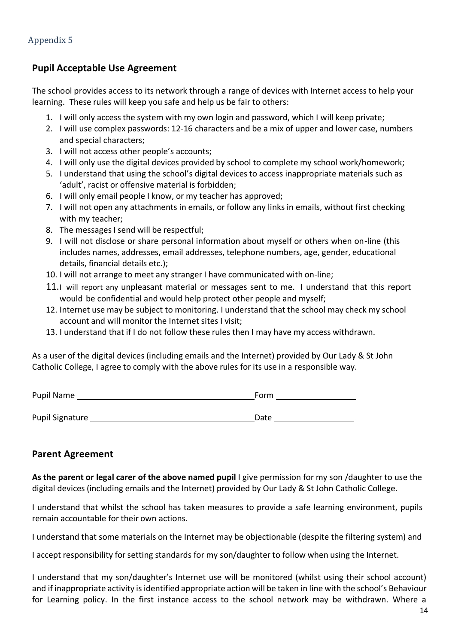# **Pupil Acceptable Use Agreement**

The school provides access to its network through a range of devices with Internet access to help your learning. These rules will keep you safe and help us be fair to others:

- 1. I will only accessthe system with my own login and password, which I will keep private;
- 2. I will use complex passwords: 12-16 characters and be a mix of upper and lower case, numbers and special characters;
- 3. I will not access other people's accounts;
- 4. I will only use the digital devices provided by school to complete my school work/homework;
- 5. I understand that using the school's digital devices to access inappropriate materials such as 'adult', racist or offensive material is forbidden;
- 6. I will only email people I know, or my teacher has approved;
- 7. I will not open any attachments in emails, or follow any links in emails, without first checking with my teacher;
- 8. The messages I send will be respectful;
- 9. I will not disclose or share personal information about myself or others when on-line (this includes names, addresses, email addresses, telephone numbers, age, gender, educational details, financial details etc.);
- 10. I will not arrange to meet any stranger I have communicated with on-line;
- 11.I will report any unpleasant material or messages sent to me. I understand that this report would be confidential and would help protect other people and myself;
- 12. Internet use may be subject to monitoring. I understand that the school may check my school account and will monitor the Internet sites I visit;
- 13. I understand that if I do not follow these rules then I may have my access withdrawn.

As a user of the digital devices (including emails and the Internet) provided by Our Lady & St John Catholic College, I agree to comply with the above rules for its use in a responsible way.

| Pupil Name      | Form |  |
|-----------------|------|--|
|                 |      |  |
| Pupil Signature | Date |  |

# **Parent Agreement**

**As the parent or legal carer of the above named pupil** I give permission for my son /daughter to use the digital devices (including emails and the Internet) provided by Our Lady & St John Catholic College.

I understand that whilst the school has taken measures to provide a safe learning environment, pupils remain accountable for their own actions.

I understand that some materials on the Internet may be objectionable (despite the filtering system) and

I accept responsibility for setting standards for my son/daughter to follow when using the Internet.

I understand that my son/daughter's Internet use will be monitored (whilst using their school account) and if inappropriate activity is identified appropriate action will be taken in line with the school's Behaviour for Learning policy. In the first instance access to the school network may be withdrawn. Where a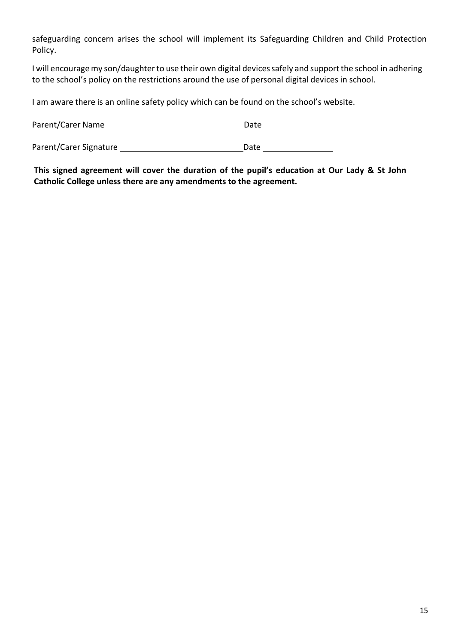safeguarding concern arises the school will implement its Safeguarding Children and Child Protection Policy.

I will encourage my son/daughter to use their own digital devices safely and support the school in adhering to the school's policy on the restrictions around the use of personal digital devices in school.

I am aware there is an online safety policy which can be found on the school's website.

| Parent/Carer Name      | Date |
|------------------------|------|
|                        |      |
| Parent/Carer Signature | Date |

**This signed agreement will cover the duration of the pupil's education at Our Lady & St John Catholic College unless there are any amendments to the agreement.**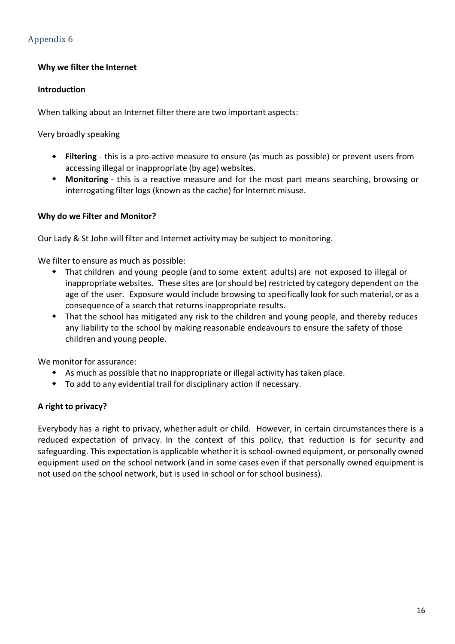#### **Why we filter the Internet**

#### **Introduction**

When talking about an Internet filter there are two important aspects:

Very broadly speaking

- w **Filtering** this is a pro-active measure to ensure (as much as possible) or prevent users from accessing illegal or inappropriate (by age) websites.
- w **Monitoring** this is a reactive measure and for the most part means searching, browsing or interrogating filter logs (known as the cache) for Internet misuse.

#### **Why do we Filter and Monitor?**

Our Lady & St John will filter and Internet activitymay be subject to monitoring.

We filter to ensure as much as possible:

- That children and young people (and to some extent adults) are not exposed to illegal or inappropriate websites. These sites are (or should be) restricted by category dependent on the age of the user. Exposure would include browsing to specifically look for such material, or as a consequence of a search that returns inappropriate results.
- That the school has mitigated any risk to the children and young people, and thereby reduces any liability to the school by making reasonable endeavours to ensure the safety of those children and young people.

We monitor for assurance:

- $\bullet$  As much as possible that no inappropriate or illegal activity has taken place.
- $\bullet$  To add to any evidential trail for disciplinary action if necessary.

#### **A right to privacy?**

Everybody has a right to privacy, whether adult or child. However, in certain circumstancesthere is a reduced expectation of privacy. In the context of this policy, that reduction is for security and safeguarding. This expectation is applicable whetherit is school-owned equipment, or personally owned equipment used on the school network (and in some cases even if that personally owned equipment is not used on the school network, but is used in school or for school business).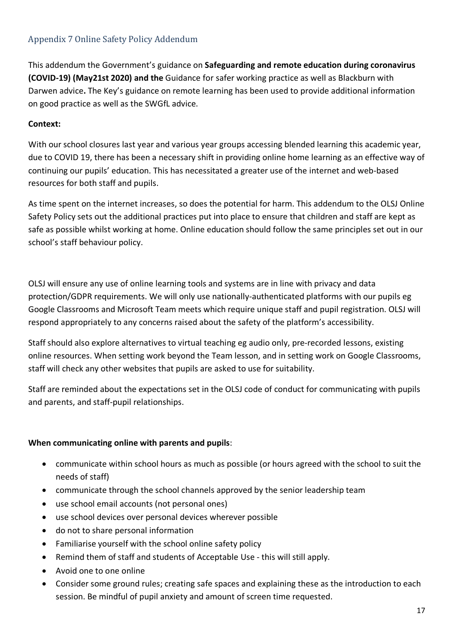# Appendix 7 Online Safety Policy Addendum

This addendum the Government's guidance on **Safeguarding and remote education during coronavirus (COVID-19) (May21st 2020) and the** Guidance for safer working practice as well as Blackburn with Darwen advice**.** The Key's guidance on remote learning has been used to provide additional information on good practice as well as the SWGfL advice.

#### **Context:**

With our school closures last year and various year groups accessing blended learning this academic year, due to COVID 19, there has been a necessary shift in providing online home learning as an effective way of continuing our pupils' education. This has necessitated a greater use of the internet and web-based resources for both staff and pupils.

As time spent on the internet increases, so does the potential for harm. This addendum to the OLSJ Online Safety Policy sets out the additional practices put into place to ensure that children and staff are kept as safe as possible whilst working at home. Online education should follow the same principles set out in our school's staff behaviour policy.

OLSJ will ensure any use of online learning tools and systems are in line with privacy and data protection/GDPR requirements. We will only use nationally-authenticated platforms with our pupils eg Google Classrooms and Microsoft Team meets which require unique staff and pupil registration. OLSJ will respond appropriately to any concerns raised about the safety of the platform's accessibility.

Staff should also explore alternatives to virtual teaching eg audio only, pre-recorded lessons, existing online resources. When setting work beyond the Team lesson, and in setting work on Google Classrooms, staff will check any other websites that pupils are asked to use for suitability.

Staff are reminded about the expectations set in the OLSJ code of conduct for communicating with pupils and parents, and staff-pupil relationships.

#### **When communicating online with parents and pupils**:

- communicate within school hours as much as possible (or hours agreed with the school to suit the needs of staff)
- communicate through the school channels approved by the senior leadership team
- use school email accounts (not personal ones)
- use school devices over personal devices wherever possible
- do not to share personal information
- Familiarise yourself with the school online safety policy
- Remind them of staff and students of Acceptable Use this will still apply.
- Avoid one to one online
- Consider some ground rules; creating safe spaces and explaining these as the introduction to each session. Be mindful of pupil anxiety and amount of screen time requested.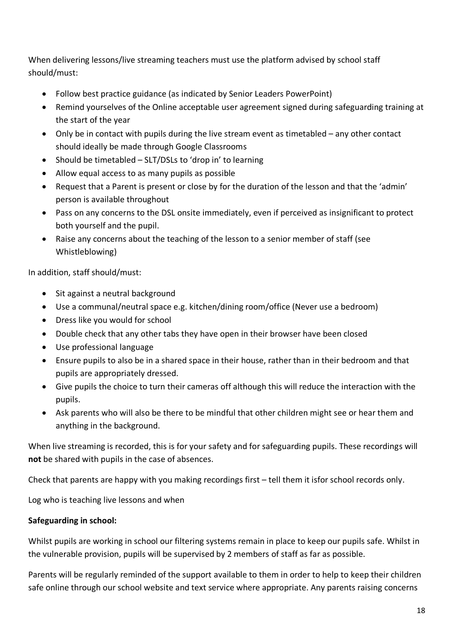When delivering lessons/live streaming teachers must use the platform advised by school staff should/must:

- Follow best practice guidance (as indicated by Senior Leaders PowerPoint)
- Remind yourselves of the Online acceptable user agreement signed during safeguarding training at the start of the year
- Only be in contact with pupils during the live stream event as timetabled any other contact should ideally be made through Google Classrooms
- Should be timetabled SLT/DSLs to 'drop in' to learning
- Allow equal access to as many pupils as possible
- Request that a Parent is present or close by for the duration of the lesson and that the 'admin' person is available throughout
- Pass on any concerns to the DSL onsite immediately, even if perceived as insignificant to protect both yourself and the pupil.
- Raise any concerns about the teaching of the lesson to a senior member of staff (see Whistleblowing)

In addition, staff should/must:

- Sit against a neutral background
- Use a communal/neutral space e.g. kitchen/dining room/office (Never use a bedroom)
- Dress like you would for school
- Double check that any other tabs they have open in their browser have been closed
- Use professional language
- Ensure pupils to also be in a shared space in their house, rather than in their bedroom and that pupils are appropriately dressed.
- Give pupils the choice to turn their cameras off although this will reduce the interaction with the pupils.
- Ask parents who will also be there to be mindful that other children might see or hear them and anything in the background.

When live streaming is recorded, this is for your safety and for safeguarding pupils. These recordings will **not** be shared with pupils in the case of absences.

Check that parents are happy with you making recordings first – tell them it isfor school records only.

Log who is teaching live lessons and when

# **Safeguarding in school:**

Whilst pupils are working in school our filtering systems remain in place to keep our pupils safe. Whilst in the vulnerable provision, pupils will be supervised by 2 members of staff as far as possible.

Parents will be regularly reminded of the support available to them in order to help to keep their children safe online through our school website and text service where appropriate. Any parents raising concerns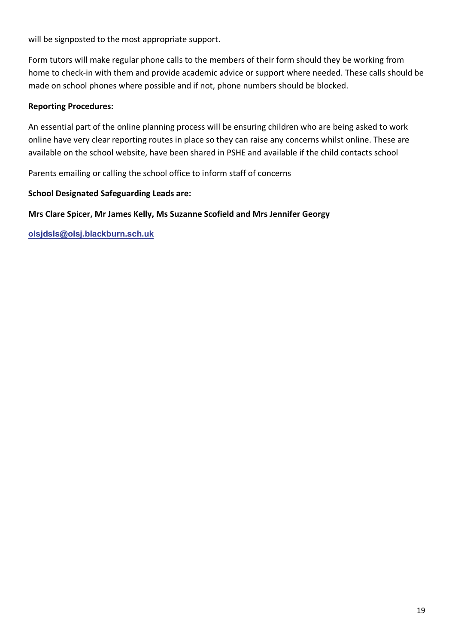will be signposted to the most appropriate support.

Form tutors will make regular phone calls to the members of their form should they be working from home to check-in with them and provide academic advice or support where needed. These calls should be made on school phones where possible and if not, phone numbers should be blocked.

#### **Reporting Procedures:**

An essential part of the online planning process will be ensuring children who are being asked to work online have very clear reporting routes in place so they can raise any concerns whilst online. These are available on the school website, have been shared in PSHE and available if the child contacts school

Parents emailing or calling the school office to inform staff of concerns

#### **School Designated Safeguarding Leads are:**

## **Mrs Clare Spicer, Mr James Kelly, Ms Suzanne Scofield and Mrs Jennifer Georgy**

**olsjdsls@olsj.blackburn.sch.uk**